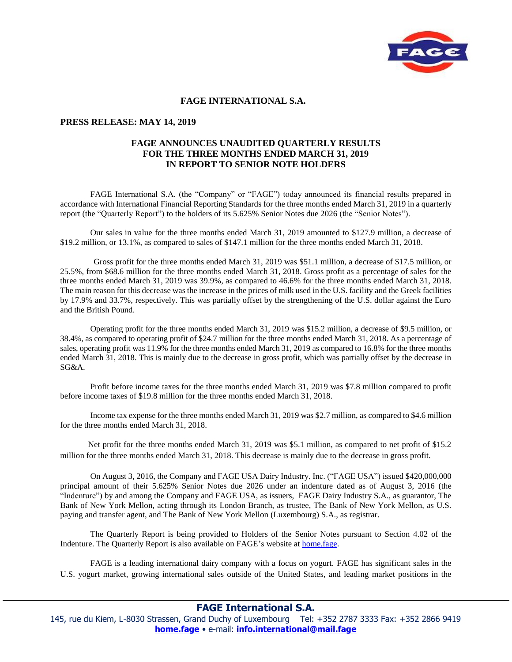

## **FAGE INTERNATIONAL S.A.**

## **PRESS RELEASE: MAY 14, 2019**

## **FAGE ANNOUNCES UNAUDITED QUARTERLY RESULTS FOR THE THREE MONTHS ENDED MARCH 31, 2019 IN REPORT TO SENIOR NOTE HOLDERS**

FAGE International S.A. (the "Company" or "FAGE") today announced its financial results prepared in accordance with International Financial Reporting Standards for the three months ended March 31, 2019 in a quarterly report (the "Quarterly Report") to the holders of its 5.625% Senior Notes due 2026 (the "Senior Notes").

Our sales in value for the three months ended March 31, 2019 amounted to \$127.9 million, a decrease of \$19.2 million, or 13.1%, as compared to sales of \$147.1 million for the three months ended March 31, 2018.

 Gross profit for the three months ended March 31, 2019 was \$51.1 million, a decrease of \$17.5 million, or 25.5%, from \$68.6 million for the three months ended March 31, 2018. Gross profit as a percentage of sales for the three months ended March 31, 2019 was 39.9%, as compared to 46.6% for the three months ended March 31, 2018. The main reason for this decrease was the increase in the prices of milk used in the U.S. facility and the Greek facilities by 17.9% and 33.7%, respectively. This was partially offset by the strengthening of the U.S. dollar against the Euro and the British Pound.

Operating profit for the three months ended March 31, 2019 was \$15.2 million, a decrease of \$9.5 million, or 38.4%, as compared to operating profit of \$24.7 million for the three months ended March 31, 2018. As a percentage of sales, operating profit was 11.9% for the three months ended March 31, 2019 as compared to 16.8% for the three months ended March 31, 2018. This is mainly due to the decrease in gross profit, which was partially offset by the decrease in SG&A.

 Profit before income taxes for the three months ended March 31, 2019 was \$7.8 million compared to profit before income taxes of \$19.8 million for the three months ended March 31, 2018.

Income tax expense for the three months ended March 31, 2019 was \$2.7 million, as compared to \$4.6 million for the three months ended March 31, 2018.

 Net profit for the three months ended March 31, 2019 was \$5.1 million, as compared to net profit of \$15.2 million for the three months ended March 31, 2018. This decrease is mainly due to the decrease in gross profit.

On August 3, 2016, the Company and FAGE USA Dairy Industry, Inc. ("FAGE USA") issued \$420,000,000 principal amount of their 5.625% Senior Notes due 2026 under an indenture dated as of August 3, 2016 (the "Indenture") by and among the Company and FAGE USA, as issuers, FAGE Dairy Industry S.A., as guarantor, The Bank of New York Mellon, acting through its London Branch, as trustee, The Bank of New York Mellon, as U.S. paying and transfer agent, and The Bank of New York Mellon (Luxembourg) S.A., as registrar.

The Quarterly Report is being provided to Holders of the Senior Notes pursuant to Section 4.02 of the Indenture. The Quarterly Report is also available on FAGE's website at home.fage.

FAGE is a leading international dairy company with a focus on yogurt. FAGE has significant sales in the U.S. yogurt market, growing international sales outside of the United States, and leading market positions in the

**FAGE International S.A.**

145, rue du Kiem, L-8030 Strassen, Grand Duchy of Luxembourg Tel: +352 2787 3333 Fax: +352 2866 9419 **[home.fage](http://home.fage/)** • e-mail: **[info.international@mail.fage](mailto:info.international@mail.fage)**